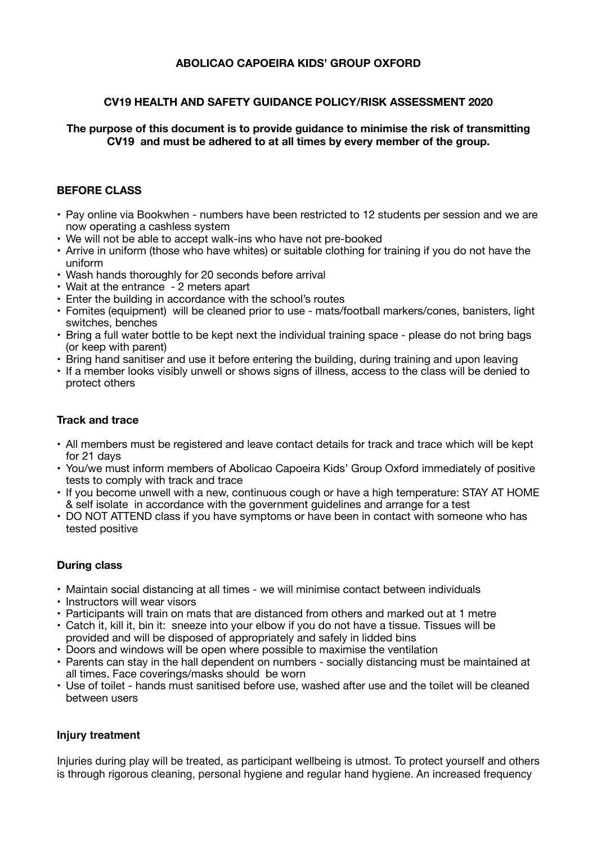# **ABOLICAO CAPOEIRA KIDS' GROUP OXFORD**

## **CV19 HEALTH AND SAFETY GUIDANCE POLICY/RISK ASSESSMENT 2020**

**The purpose of this document is to provide guidance to minimise the risk of transmitting CV19 and must be adhered to at all times by every member of the group.** 

#### **BEFORE CLASS**

- Pay online via Bookwhen numbers have been restricted to 12 students per session and we are now operating a cashless system
- We will not be able to accept walk-ins who have not pre-booked
- Arrive in uniform (those who have whites) or suitable clothing for training if you do not have the uniform
- Wash hands thoroughly for 20 seconds before arrival
- Wait at the entrance 2 meters apart
- Enter the building in accordance with the school's routes
- Fomites (equipment) will be cleaned prior to use mats/football markers/cones, banisters, light switches, benches
- Bring a full water bottle to be kept next the individual training space please do not bring bags (or keep with parent)
- Bring hand sanitiser and use it before entering the building, during training and upon leaving
- If a member looks visibly unwell or shows signs of illness, access to the class will be denied to protect others

#### **Track and trace**

- All members must be registered and leave contact details for track and trace which will be kept for 21 days
- You/we must inform members of Abolicao Capoeira Kids' Group Oxford immediately of positive tests to comply with track and trace
- If you become unwell with a new, continuous cough or have a high temperature: STAY AT HOME & self isolate in accordance with the government guidelines and arrange for a test
- DO NOT ATTEND class if you have symptoms or have been in contact with someone who has tested positive

## **During class**

- Maintain social distancing at all times we will minimise contact between individuals
- Instructors will wear visors
- Participants will train on mats that are distanced from others and marked out at 1 metre
- Catch it, kill it, bin it: sneeze into your elbow if you do not have a tissue. Tissues will be provided and will be disposed of appropriately and safely in lidded bins
- Doors and windows will be open where possible to maximise the ventilation
- Parents can stay in the hall dependent on numbers socially distancing must be maintained at all times. Face coverings/masks should be worn
- Use of toilet hands must sanitised before use, washed after use and the toilet will be cleaned between users

## **Injury treatment**

Injuries during play will be treated, as participant wellbeing is utmost. To protect yourself and others is through rigorous cleaning, personal hygiene and regular hand hygiene. An increased frequency